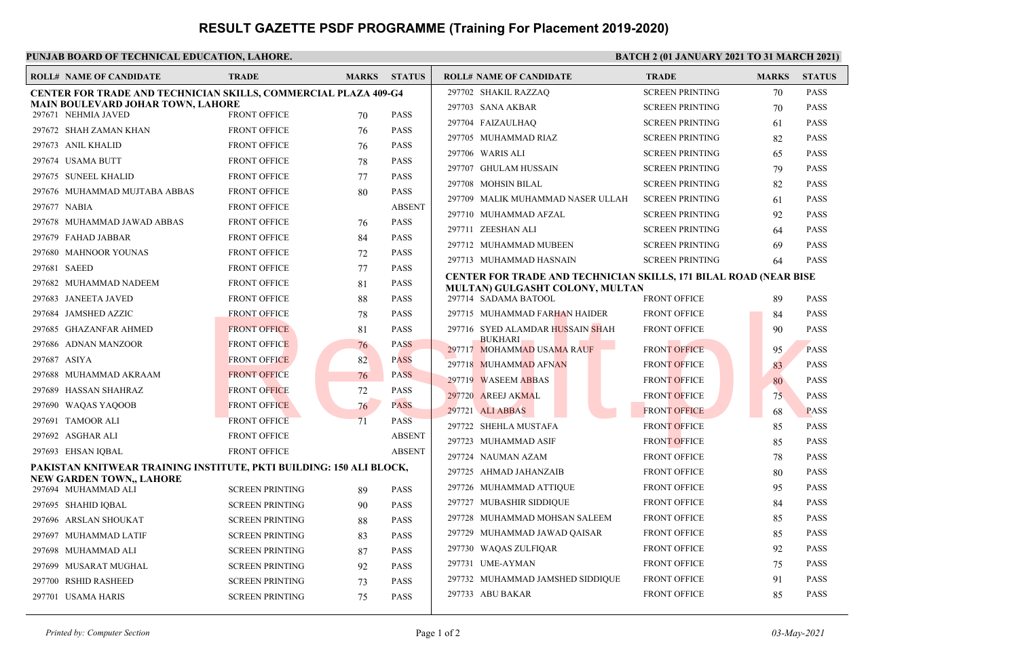# **RESULT GAZETTE PSDF PROGRAMME (Training For Placement 2019-2020)**

### PUNJAB BOARD OF TECHNICAL EDUCATION, LAHORE. **BATCH 2 (01 JANUARY 2021 TO 31 MARCH 2021**)

| <b>ROLL# NAME OF CANDIDATE</b>                                         | <b>TRADE</b>           | <b>MARKS</b> | <b>STATUS</b>              | <b>ROLL# NAME OF CANDIDATE</b>                                    | <b>TRADE</b>           | <b>MARKS</b> | <b>STATUS</b> |
|------------------------------------------------------------------------|------------------------|--------------|----------------------------|-------------------------------------------------------------------|------------------------|--------------|---------------|
| <b>CENTER FOR TRADE AND TECHNICIAN SKILLS, COMMERCIAL PLAZA 409-G4</b> |                        |              |                            | 297702 SHAKIL RAZZAQ                                              | <b>SCREEN PRINTING</b> | 70           | <b>PASS</b>   |
| MAIN BOULEVARD JOHAR TOWN, LAHORE<br>297671 NEHMIA JAVED               | <b>FRONT OFFICE</b>    | 70           | <b>PASS</b>                | 297703 SANA AKBAR                                                 | <b>SCREEN PRINTING</b> | 70           | <b>PASS</b>   |
| 297672 SHAH ZAMAN KHAN                                                 | <b>FRONT OFFICE</b>    | 76           | <b>PASS</b>                | 297704 FAIZAULHAQ                                                 | <b>SCREEN PRINTING</b> | -61          | <b>PASS</b>   |
| 297673 ANIL KHALID                                                     | <b>FRONT OFFICE</b>    |              | <b>PASS</b>                | 297705 MUHAMMAD RIAZ                                              | <b>SCREEN PRINTING</b> | 82           | <b>PASS</b>   |
|                                                                        |                        | 76           |                            | 297706 WARIS ALI                                                  | <b>SCREEN PRINTING</b> | 65           | <b>PASS</b>   |
| 297674 USAMA BUTT                                                      | <b>FRONT OFFICE</b>    | 78           | <b>PASS</b><br><b>PASS</b> | 297707 GHULAM HUSSAIN                                             | <b>SCREEN PRINTING</b> | 79           | <b>PASS</b>   |
| 297675 SUNEEL KHALID                                                   | <b>FRONT OFFICE</b>    | 77           |                            | 297708 MOHSIN BILAL                                               | <b>SCREEN PRINTING</b> | 82           | <b>PASS</b>   |
| 297676 MUHAMMAD MUJTABA ABBAS                                          | <b>FRONT OFFICE</b>    | 80           | <b>PASS</b>                | 297709 MALIK MUHAMMAD NASER ULLAH                                 | <b>SCREEN PRINTING</b> | -61          | <b>PASS</b>   |
| 297677 NABIA                                                           | <b>FRONT OFFICE</b>    |              | <b>ABSENT</b>              | 297710 MUHAMMAD AFZAL                                             | <b>SCREEN PRINTING</b> | 92           | <b>PASS</b>   |
| 297678 MUHAMMAD JAWAD ABBAS                                            | <b>FRONT OFFICE</b>    | 76           | <b>PASS</b>                | 297711 ZEESHAN ALI                                                | <b>SCREEN PRINTING</b> | 64           | <b>PASS</b>   |
| 297679 FAHAD JABBAR                                                    | <b>FRONT OFFICE</b>    | 84           | <b>PASS</b>                | 297712 MUHAMMAD MUBEEN                                            | <b>SCREEN PRINTING</b> | 69           | <b>PASS</b>   |
| 297680 MAHNOOR YOUNAS                                                  | <b>FRONT OFFICE</b>    | 72           | <b>PASS</b>                | 297713 MUHAMMAD HASNAIN                                           | <b>SCREEN PRINTING</b> | 64           | <b>PASS</b>   |
| 297681 SAEED                                                           | <b>FRONT OFFICE</b>    | 77           | <b>PASS</b>                | CENTER FOR TRADE AND TECHNICIAN SKILLS, 171 BILAL ROAD (NEAR BISE |                        |              |               |
| 297682 MUHAMMAD NADEEM                                                 | <b>FRONT OFFICE</b>    | 81           | <b>PASS</b>                | MULTAN) GULGASHT COLONY, MULTAN                                   |                        |              |               |
| 297683 JANEETA JAVED                                                   | <b>FRONT OFFICE</b>    | 88           | <b>PASS</b>                | 297714 SADAMA BATOOL                                              | <b>FRONT OFFICE</b>    | 89           | <b>PASS</b>   |
| 297684 JAMSHED AZZIC                                                   | <b>FRONT OFFICE</b>    | 78           | <b>PASS</b>                | 297715 MUHAMMAD FARHAN HAIDER                                     | <b>FRONT OFFICE</b>    | 84           | <b>PASS</b>   |
| 297685 GHAZANFAR AHMED                                                 | <b>FRONT OFFICE</b>    | 81           | <b>PASS</b>                | 297716 SYED ALAMDAR HUSSAIN SHAH<br><b>BUKHARI</b>                | <b>FRONT OFFICE</b>    | 90           | <b>PASS</b>   |
| 297686 ADNAN MANZOOR                                                   | <b>FRONT OFFICE</b>    | 76           | <b>PASS</b>                | 297717 MOHAMMAD USAMA RAUF                                        | <b>FRONT OFFICE</b>    | 95           | <b>PASS</b>   |
| 297687 ASIYA                                                           | <b>FRONT OFFICE</b>    | 82           | <b>PASS</b>                | 297718 MUHAMMAD AFNAN                                             | <b>FRONT OFFICE</b>    | 83           | <b>PASS</b>   |
| 297688 MUHAMMAD AKRAAM                                                 | <b>FRONT OFFICE</b>    | 76           | <b>PASS</b>                | 297719 WASEEM ABBAS                                               | <b>FRONT OFFICE</b>    | 80           | <b>PASS</b>   |
| 297689 HASSAN SHAHRAZ                                                  | <b>FRONT OFFICE</b>    | 72           | <b>PASS</b>                | 297720 AREEJ AKMAL                                                | <b>FRONT OFFICE</b>    | 75           | <b>PASS</b>   |
| 297690 WAQAS YAQOOB                                                    | <b>FRONT OFFICE</b>    | 76           | <b>PASS</b>                | 297721 ALI ABBAS                                                  | <b>FRONT OFFICE</b>    | 68           | <b>PASS</b>   |
| 297691   TAMOOR ALI                                                    | <b>FRONT OFFICE</b>    | 71           | <b>PASS</b>                | 297722 SHEHLA MUSTAFA                                             | <b>FRONT OFFICE</b>    | 85           | <b>PASS</b>   |
| 297692 ASGHAR ALI                                                      | <b>FRONT OFFICE</b>    |              | <b>ABSENT</b>              | 297723 MUHAMMAD ASIF                                              | <b>FRONT OFFICE</b>    | 85           | <b>PASS</b>   |
| 297693 EHSAN IQBAL                                                     | <b>FRONT OFFICE</b>    |              | <b>ABSENT</b>              | 297724 NAUMAN AZAM                                                | <b>FRONT OFFICE</b>    | 78           | <b>PASS</b>   |
| PAKISTAN KNITWEAR TRAINING INSTITUTE, PKTI BUILDING: 150 ALI BLOCK,    |                        |              |                            | 297725 AHMAD JAHANZAIB                                            | <b>FRONT OFFICE</b>    | 80           | <b>PASS</b>   |
| NEW GARDEN TOWN., LAHORE<br>297694 MUHAMMAD ALI                        | <b>SCREEN PRINTING</b> | 89           | <b>PASS</b>                | 297726 MUHAMMAD ATTIQUE                                           | <b>FRONT OFFICE</b>    | 95           | <b>PASS</b>   |
| 297695 SHAHID IOBAL                                                    | <b>SCREEN PRINTING</b> | 90           | <b>PASS</b>                | 297727 MUBASHIR SIDDIQUE                                          | <b>FRONT OFFICE</b>    | 84           | <b>PASS</b>   |
| 297696 ARSLAN SHOUKAT                                                  | <b>SCREEN PRINTING</b> | 88           | <b>PASS</b>                | 297728 MUHAMMAD MOHSAN SALEEM                                     | <b>FRONT OFFICE</b>    | 85           | <b>PASS</b>   |
| 297697 MUHAMMAD LATIF                                                  | <b>SCREEN PRINTING</b> | 83           | <b>PASS</b>                | 297729 MUHAMMAD JAWAD QAISAR                                      | <b>FRONT OFFICE</b>    | 85           | <b>PASS</b>   |
| 297698 MUHAMMAD ALI                                                    | <b>SCREEN PRINTING</b> | 87           | <b>PASS</b>                | 297730 WAQAS ZULFIQAR                                             | <b>FRONT OFFICE</b>    | 92           | <b>PASS</b>   |
| 297699   MUSARAT MUGHAL                                                | <b>SCREEN PRINTING</b> | 92           | <b>PASS</b>                | 297731 UME-AYMAN                                                  | <b>FRONT OFFICE</b>    | 75           | <b>PASS</b>   |
| 297700 RSHID RASHEED                                                   | <b>SCREEN PRINTING</b> | 73           | <b>PASS</b>                | 297732 MUHAMMAD JAMSHED SIDDIQUE                                  | <b>FRONT OFFICE</b>    | 91           | <b>PASS</b>   |
| 297701 USAMA HARIS                                                     | <b>SCREEN PRINTING</b> |              | <b>PASS</b>                | 297733 ABU BAKAR                                                  | <b>FRONT OFFICE</b>    | 85           | <b>PASS</b>   |
|                                                                        |                        | 75           |                            |                                                                   |                        |              |               |